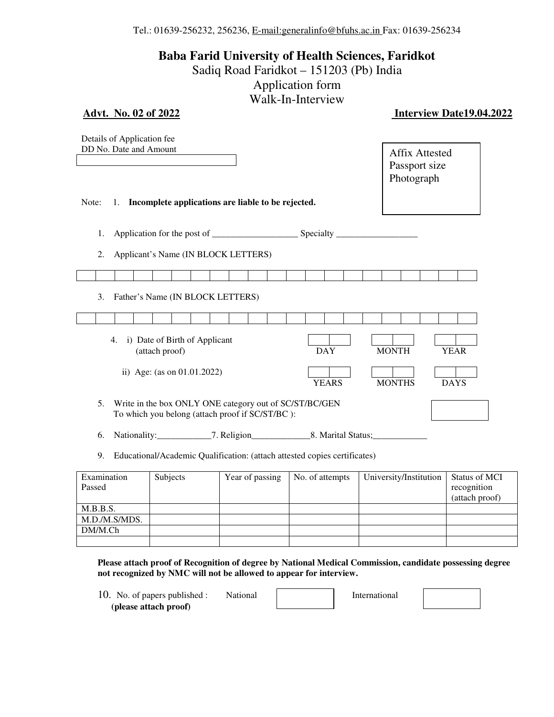Tel.: 01639-256232, 256236, E-mail:generalinfo@bfuhs.ac.in Fax: 01639-256234

**Baba Farid University of Health Sciences, Faridkot** 

Sadiq Road Faridkot – 151203 (Pb) India

Application form

Walk-In-Interview

| <b>Advt.</b> No. 02 of 2022                                                                                     | 111 111 1111VI V 1 | <b>Interview Date19.04.2022</b>                      |
|-----------------------------------------------------------------------------------------------------------------|--------------------|------------------------------------------------------|
| Details of Application fee<br>DD No. Date and Amount                                                            |                    | <b>Affix Attested</b><br>Passport size<br>Photograph |
| Incomplete applications are liable to be rejected.<br>Note:<br>1.                                               |                    |                                                      |
| 1.<br>Applicant's Name (IN BLOCK LETTERS)<br>2.                                                                 |                    |                                                      |
|                                                                                                                 |                    |                                                      |
| Father's Name (IN BLOCK LETTERS)<br>3.                                                                          |                    |                                                      |
|                                                                                                                 |                    |                                                      |
| i) Date of Birth of Applicant<br>4.<br>(attach proof)                                                           | <b>DAY</b>         | <b>MONTH</b><br><b>YEAR</b>                          |
| ii) Age: (as on 01.01.2022)                                                                                     | <b>YEARS</b>       | <b>MONTHS</b><br><b>DAYS</b>                         |
| Write in the box ONLY ONE category out of SC/ST/BC/GEN<br>5.<br>To which you belong (attach proof if SC/ST/BC): |                    |                                                      |

6. Nationality: \_\_\_\_\_\_\_\_\_\_\_\_\_7. Religion\_\_\_\_\_\_\_\_\_\_\_\_\_\_\_8. Marital Status; \_\_\_\_\_\_\_\_\_\_\_\_\_\_\_\_\_\_\_\_\_\_\_\_\_

9. Educational/Academic Qualification: (attach attested copies certificates)

| Examination   | Subjects | Year of passing | No. of attempts | University/Institution | Status of MCI  |
|---------------|----------|-----------------|-----------------|------------------------|----------------|
| Passed        |          |                 |                 |                        | recognition    |
|               |          |                 |                 |                        | (attach proof) |
| M.B.B.S.      |          |                 |                 |                        |                |
| M.D./M.S/MDS. |          |                 |                 |                        |                |
| DM/M.Ch       |          |                 |                 |                        |                |
|               |          |                 |                 |                        |                |

**Please attach proof of Recognition of degree by National Medical Commission, candidate possessing degree not recognized by NMC will not be allowed to appear for interview.** 

10. No. of papers published : National | International  **(please attach proof)**